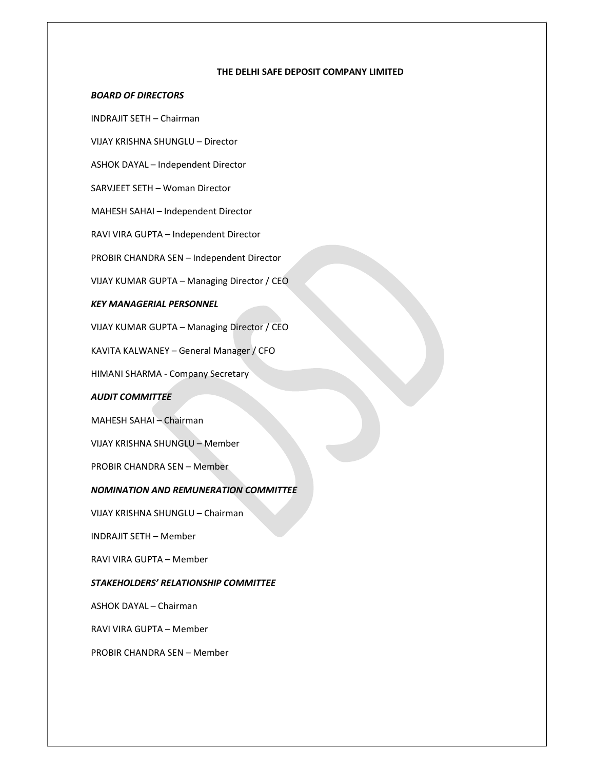#### THE DELHI SAFE DEPOSIT COMPANY LIMITED

## BOARD OF DIRECTORS

INDRAJIT SETH – Chairman

VIJAY KRISHNA SHUNGLU – Director

ASHOK DAYAL – Independent Director

SARVJEET SETH – Woman Director

MAHESH SAHAI – Independent Director

RAVI VIRA GUPTA – Independent Director

PROBIR CHANDRA SEN – Independent Director

VIJAY KUMAR GUPTA – Managing Director / CEO

# KEY MANAGERIAL PERSONNEL

VIJAY KUMAR GUPTA – Managing Director / CEO

KAVITA KALWANEY – General Manager / CFO

HIMANI SHARMA - Company Secretary

#### AUDIT COMMITTEE

MAHESH SAHAI – Chairman

VIJAY KRISHNA SHUNGLU – Member

PROBIR CHANDRA SEN – Member

#### NOMINATION AND REMUNERATION COMMITTEE

VIJAY KRISHNA SHUNGLU – Chairman

INDRAJIT SETH – Member

RAVI VIRA GUPTA – Member

### STAKEHOLDERS' RELATIONSHIP COMMITTEE

ASHOK DAYAL – Chairman

RAVI VIRA GUPTA – Member

PROBIR CHANDRA SEN – Member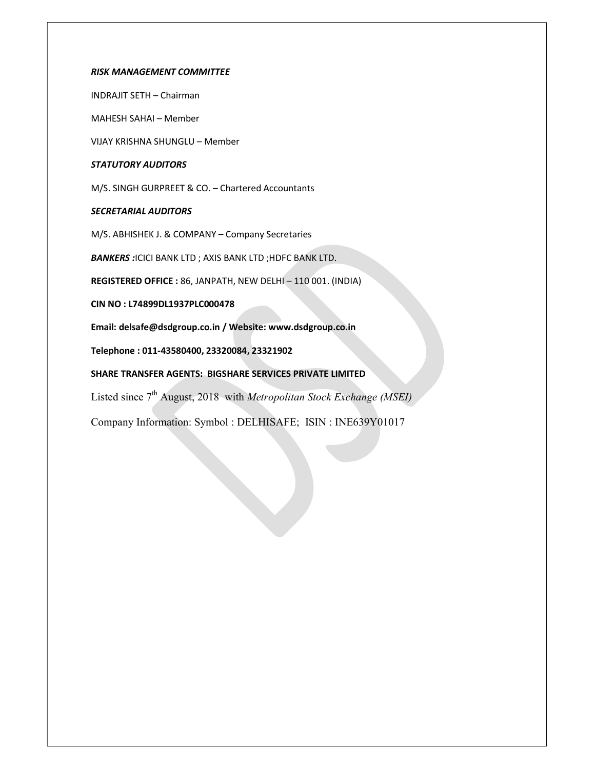### RISK MANAGEMENT COMMITTEE

INDRAJIT SETH – Chairman

MAHESH SAHAI – Member

VIJAY KRISHNA SHUNGLU – Member

## STATUTORY AUDITORS

M/S. SINGH GURPREET & CO. – Chartered Accountants

# SECRETARIAL AUDITORS

M/S. ABHISHEK J. & COMPANY – Company Secretaries

BANKERS : ICICI BANK LTD ; AXIS BANK LTD ; HDFC BANK LTD.

REGISTERED OFFICE : 86, JANPATH, NEW DELHI – 110 001. (INDIA)

CIN NO : L74899DL1937PLC000478

Email: delsafe@dsdgroup.co.in / Website: www.dsdgroup.co.in

Telephone : 011-43580400, 23320084, 23321902

## SHARE TRANSFER AGENTS: BIGSHARE SERVICES PRIVATE LIMITED

Listed since  $7<sup>th</sup>$  August, 2018 with *Metropolitan Stock Exchange (MSEI)* 

Company Information: Symbol : DELHISAFE; ISIN : INE639Y01017